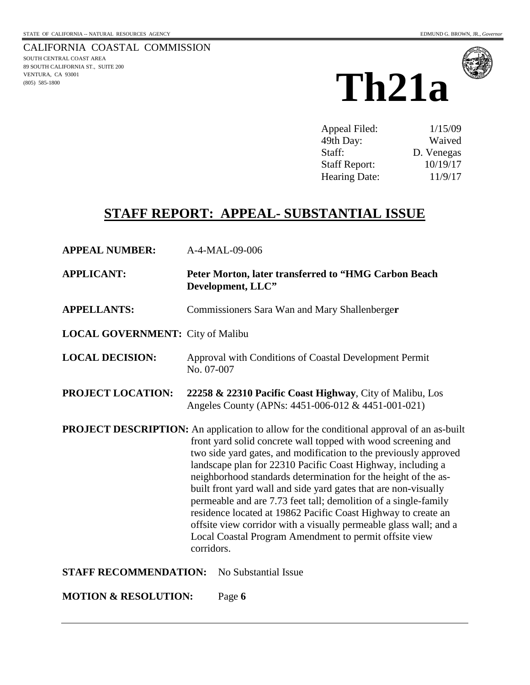CALIFORNIA COASTAL COMMISSION SOUTH CENTRAL COAST AREA 89 SOUTH CALIFORNIA ST., SUITE 200 VENTURA, CA 93001 (805) 585-1800





| Appeal Filed:        | 1/15/09    |
|----------------------|------------|
| 49th Day:            | Waived     |
| Staff:               | D. Venegas |
| <b>Staff Report:</b> | 10/19/17   |
| Hearing Date:        | 11/9/17    |

## **STAFF REPORT: APPEAL- SUBSTANTIAL ISSUE**

| <b>APPEAL NUMBER:</b>                   | A-4-MAL-09-006                                                                                                                                                                                                                                                                                                                                                                                                                                                                                                                                                                                                                                                                                                            |
|-----------------------------------------|---------------------------------------------------------------------------------------------------------------------------------------------------------------------------------------------------------------------------------------------------------------------------------------------------------------------------------------------------------------------------------------------------------------------------------------------------------------------------------------------------------------------------------------------------------------------------------------------------------------------------------------------------------------------------------------------------------------------------|
| <b>APPLICANT:</b>                       | Peter Morton, later transferred to "HMG Carbon Beach<br>Development, LLC"                                                                                                                                                                                                                                                                                                                                                                                                                                                                                                                                                                                                                                                 |
| <b>APPELLANTS:</b>                      | Commissioners Sara Wan and Mary Shallenberger                                                                                                                                                                                                                                                                                                                                                                                                                                                                                                                                                                                                                                                                             |
| <b>LOCAL GOVERNMENT:</b> City of Malibu |                                                                                                                                                                                                                                                                                                                                                                                                                                                                                                                                                                                                                                                                                                                           |
| <b>LOCAL DECISION:</b>                  | Approval with Conditions of Coastal Development Permit<br>No. 07-007                                                                                                                                                                                                                                                                                                                                                                                                                                                                                                                                                                                                                                                      |
| PROJECT LOCATION:                       | 22258 & 22310 Pacific Coast Highway, City of Malibu, Los<br>Angeles County (APNs: 4451-006-012 & 4451-001-021)                                                                                                                                                                                                                                                                                                                                                                                                                                                                                                                                                                                                            |
|                                         | <b>PROJECT DESCRIPTION:</b> An application to allow for the conditional approval of an as-built<br>front yard solid concrete wall topped with wood screening and<br>two side yard gates, and modification to the previously approved<br>landscape plan for 22310 Pacific Coast Highway, including a<br>neighborhood standards determination for the height of the as-<br>built front yard wall and side yard gates that are non-visually<br>permeable and are 7.73 feet tall; demolition of a single-family<br>residence located at 19862 Pacific Coast Highway to create an<br>offsite view corridor with a visually permeable glass wall; and a<br>Local Coastal Program Amendment to permit offsite view<br>corridors. |
| <b>STAFF RECOMMENDATION:</b>            | No Substantial Issue                                                                                                                                                                                                                                                                                                                                                                                                                                                                                                                                                                                                                                                                                                      |
| <b>MOTION &amp; RESOLUTION:</b>         | Page 6                                                                                                                                                                                                                                                                                                                                                                                                                                                                                                                                                                                                                                                                                                                    |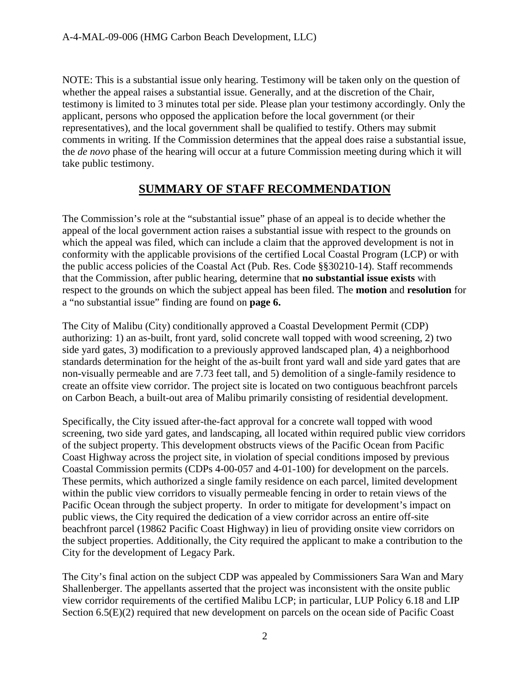NOTE: This is a substantial issue only hearing. Testimony will be taken only on the question of whether the appeal raises a substantial issue. Generally, and at the discretion of the Chair, testimony is limited to 3 minutes total per side. Please plan your testimony accordingly. Only the applicant, persons who opposed the application before the local government (or their representatives), and the local government shall be qualified to testify. Others may submit comments in writing. If the Commission determines that the appeal does raise a substantial issue, the *de novo* phase of the hearing will occur at a future Commission meeting during which it will take public testimony.

### **SUMMARY OF STAFF RECOMMENDATION**

The Commission's role at the "substantial issue" phase of an appeal is to decide whether the appeal of the local government action raises a substantial issue with respect to the grounds on which the appeal was filed, which can include a claim that the approved development is not in conformity with the applicable provisions of the certified Local Coastal Program (LCP) or with the public access policies of the Coastal Act (Pub. Res. Code §§30210-14). Staff recommends that the Commission, after public hearing, determine that **no substantial issue exists** with respect to the grounds on which the subject appeal has been filed. The **motion** and **resolution** for a "no substantial issue" finding are found on **page 6.** 

The City of Malibu (City) conditionally approved a Coastal Development Permit (CDP) authorizing: 1) an as-built, front yard, solid concrete wall topped with wood screening, 2) two side yard gates, 3) modification to a previously approved landscaped plan, 4) a neighborhood standards determination for the height of the as-built front yard wall and side yard gates that are non-visually permeable and are 7.73 feet tall, and 5) demolition of a single-family residence to create an offsite view corridor. The project site is located on two contiguous beachfront parcels on Carbon Beach, a built-out area of Malibu primarily consisting of residential development.

Specifically, the City issued after-the-fact approval for a concrete wall topped with wood screening, two side yard gates, and landscaping, all located within required public view corridors of the subject property. This development obstructs views of the Pacific Ocean from Pacific Coast Highway across the project site, in violation of special conditions imposed by previous Coastal Commission permits (CDPs 4-00-057 and 4-01-100) for development on the parcels. These permits, which authorized a single family residence on each parcel, limited development within the public view corridors to visually permeable fencing in order to retain views of the Pacific Ocean through the subject property. In order to mitigate for development's impact on public views, the City required the dedication of a view corridor across an entire off-site beachfront parcel (19862 Pacific Coast Highway) in lieu of providing onsite view corridors on the subject properties. Additionally, the City required the applicant to make a contribution to the City for the development of Legacy Park.

The City's final action on the subject CDP was appealed by Commissioners Sara Wan and Mary Shallenberger. The appellants asserted that the project was inconsistent with the onsite public view corridor requirements of the certified Malibu LCP; in particular, LUP Policy 6.18 and LIP Section 6.5(E)(2) required that new development on parcels on the ocean side of Pacific Coast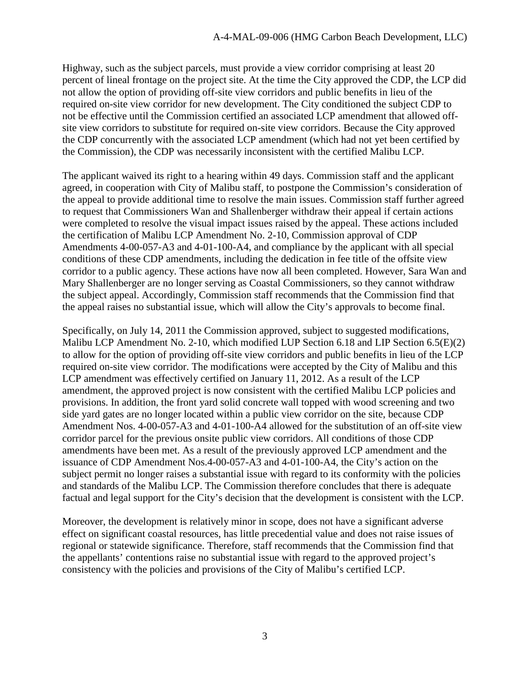Highway, such as the subject parcels, must provide a view corridor comprising at least 20 percent of lineal frontage on the project site. At the time the City approved the CDP, the LCP did not allow the option of providing off-site view corridors and public benefits in lieu of the required on-site view corridor for new development. The City conditioned the subject CDP to not be effective until the Commission certified an associated LCP amendment that allowed offsite view corridors to substitute for required on-site view corridors. Because the City approved the CDP concurrently with the associated LCP amendment (which had not yet been certified by the Commission), the CDP was necessarily inconsistent with the certified Malibu LCP.

The applicant waived its right to a hearing within 49 days. Commission staff and the applicant agreed, in cooperation with City of Malibu staff, to postpone the Commission's consideration of the appeal to provide additional time to resolve the main issues. Commission staff further agreed to request that Commissioners Wan and Shallenberger withdraw their appeal if certain actions were completed to resolve the visual impact issues raised by the appeal. These actions included the certification of Malibu LCP Amendment No. 2-10, Commission approval of CDP Amendments 4-00-057-A3 and 4-01-100-A4, and compliance by the applicant with all special conditions of these CDP amendments, including the dedication in fee title of the offsite view corridor to a public agency. These actions have now all been completed. However, Sara Wan and Mary Shallenberger are no longer serving as Coastal Commissioners, so they cannot withdraw the subject appeal. Accordingly, Commission staff recommends that the Commission find that the appeal raises no substantial issue, which will allow the City's approvals to become final.

Specifically, on July 14, 2011 the Commission approved, subject to suggested modifications, Malibu LCP Amendment No. 2-10, which modified LUP Section 6.18 and LIP Section 6.5(E)(2) to allow for the option of providing off-site view corridors and public benefits in lieu of the LCP required on-site view corridor. The modifications were accepted by the City of Malibu and this LCP amendment was effectively certified on January 11, 2012. As a result of the LCP amendment, the approved project is now consistent with the certified Malibu LCP policies and provisions. In addition, the front yard solid concrete wall topped with wood screening and two side yard gates are no longer located within a public view corridor on the site, because CDP Amendment Nos. 4-00-057-A3 and 4-01-100-A4 allowed for the substitution of an off-site view corridor parcel for the previous onsite public view corridors. All conditions of those CDP amendments have been met. As a result of the previously approved LCP amendment and the issuance of CDP Amendment Nos.4-00-057-A3 and 4-01-100-A4, the City's action on the subject permit no longer raises a substantial issue with regard to its conformity with the policies and standards of the Malibu LCP. The Commission therefore concludes that there is adequate factual and legal support for the City's decision that the development is consistent with the LCP.

Moreover, the development is relatively minor in scope, does not have a significant adverse effect on significant coastal resources, has little precedential value and does not raise issues of regional or statewide significance. Therefore, staff recommends that the Commission find that the appellants' contentions raise no substantial issue with regard to the approved project's consistency with the policies and provisions of the City of Malibu's certified LCP.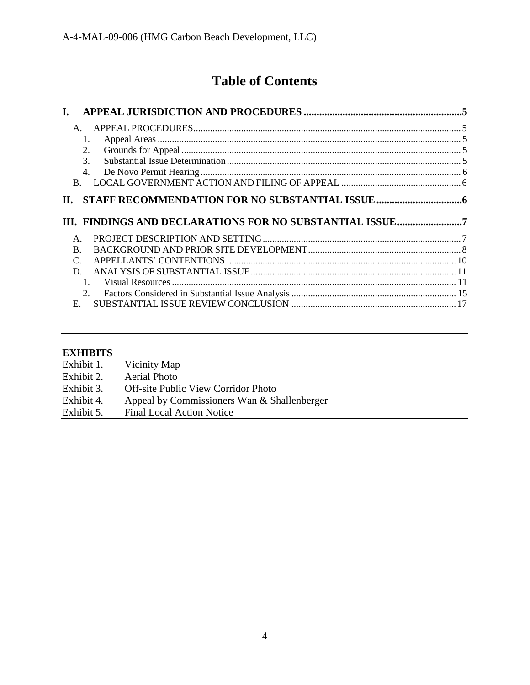# **Table of Contents**

| L.                                                       |  |
|----------------------------------------------------------|--|
| Α.                                                       |  |
| 1.                                                       |  |
| 2.                                                       |  |
| $\mathcal{F}$                                            |  |
| 4.                                                       |  |
| <sub>R</sub>                                             |  |
| П.                                                       |  |
|                                                          |  |
|                                                          |  |
| III. FINDINGS AND DECLARATIONS FOR NO SUBSTANTIAL ISSUE7 |  |
|                                                          |  |
| $\mathsf{A}$ .<br>B.                                     |  |
| $\mathcal{C}$                                            |  |
| D.                                                       |  |
|                                                          |  |
|                                                          |  |
| E.                                                       |  |

## **EXHIBITS**

| Exhibit 1. | Vicinity Map                                |
|------------|---------------------------------------------|
| Exhibit 2. | <b>Aerial Photo</b>                         |
| Exhibit 3. | <b>Off-site Public View Corridor Photo</b>  |
| Exhibit 4. | Appeal by Commissioners Wan & Shallenberger |
| Exhibit 5. | <b>Final Local Action Notice</b>            |
|            |                                             |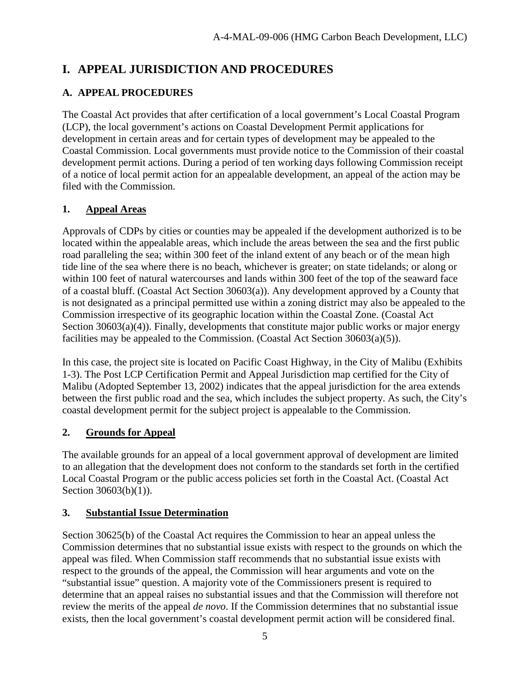### <span id="page-4-0"></span>**I. APPEAL JURISDICTION AND PROCEDURES**

### <span id="page-4-1"></span>**A. APPEAL PROCEDURES**

The Coastal Act provides that after certification of a local government's Local Coastal Program (LCP), the local government's actions on Coastal Development Permit applications for development in certain areas and for certain types of development may be appealed to the Coastal Commission. Local governments must provide notice to the Commission of their coastal development permit actions. During a period of ten working days following Commission receipt of a notice of local permit action for an appealable development, an appeal of the action may be filed with the Commission.

### <span id="page-4-2"></span>**1. Appeal Areas**

Approvals of CDPs by cities or counties may be appealed if the development authorized is to be located within the appealable areas, which include the areas between the sea and the first public road paralleling the sea; within 300 feet of the inland extent of any beach or of the mean high tide line of the sea where there is no beach, whichever is greater; on state tidelands; or along or within 100 feet of natural watercourses and lands within 300 feet of the top of the seaward face of a coastal bluff. (Coastal Act Section 30603(a)). Any development approved by a County that is not designated as a principal permitted use within a zoning district may also be appealed to the Commission irrespective of its geographic location within the Coastal Zone. (Coastal Act Section 30603(a)(4)). Finally, developments that constitute major public works or major energy facilities may be appealed to the Commission. (Coastal Act Section 30603(a)(5)).

In this case, the project site is located on Pacific Coast Highway, in the City of Malibu (Exhibits 1-3). The Post LCP Certification Permit and Appeal Jurisdiction map certified for the City of Malibu (Adopted September 13, 2002) indicates that the appeal jurisdiction for the area extends between the first public road and the sea, which includes the subject property. As such, the City's coastal development permit for the subject project is appealable to the Commission.

### <span id="page-4-3"></span>**2. Grounds for Appeal**

The available grounds for an appeal of a local government approval of development are limited to an allegation that the development does not conform to the standards set forth in the certified Local Coastal Program or the public access policies set forth in the Coastal Act. (Coastal Act Section 30603(b)(1)).

### <span id="page-4-4"></span>**3. Substantial Issue Determination**

Section 30625(b) of the Coastal Act requires the Commission to hear an appeal unless the Commission determines that no substantial issue exists with respect to the grounds on which the appeal was filed. When Commission staff recommends that no substantial issue exists with respect to the grounds of the appeal, the Commission will hear arguments and vote on the "substantial issue" question. A majority vote of the Commissioners present is required to determine that an appeal raises no substantial issues and that the Commission will therefore not review the merits of the appeal *de novo*. If the Commission determines that no substantial issue exists, then the local government's coastal development permit action will be considered final.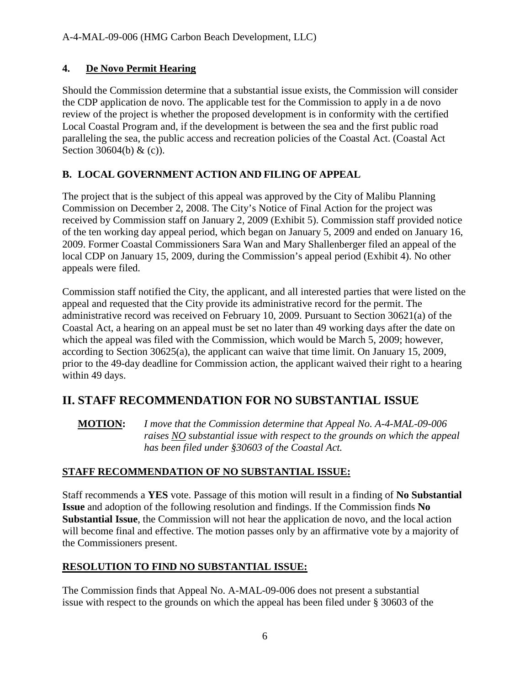### <span id="page-5-0"></span>**4. De Novo Permit Hearing**

Should the Commission determine that a substantial issue exists, the Commission will consider the CDP application de novo. The applicable test for the Commission to apply in a de novo review of the project is whether the proposed development is in conformity with the certified Local Coastal Program and, if the development is between the sea and the first public road paralleling the sea, the public access and recreation policies of the Coastal Act. (Coastal Act Section 30604(b) & (c)).

### <span id="page-5-1"></span>**B. LOCAL GOVERNMENT ACTION AND FILING OF APPEAL**

The project that is the subject of this appeal was approved by the City of Malibu Planning Commission on December 2, 2008. The City's Notice of Final Action for the project was received by Commission staff on January 2, 2009 (Exhibit 5). Commission staff provided notice of the ten working day appeal period, which began on January 5, 2009 and ended on January 16, 2009. Former Coastal Commissioners Sara Wan and Mary Shallenberger filed an appeal of the local CDP on January 15, 2009, during the Commission's appeal period (Exhibit 4). No other appeals were filed.

Commission staff notified the City, the applicant, and all interested parties that were listed on the appeal and requested that the City provide its administrative record for the permit. The administrative record was received on February 10, 2009. Pursuant to Section 30621(a) of the Coastal Act, a hearing on an appeal must be set no later than 49 working days after the date on which the appeal was filed with the Commission, which would be March 5, 2009; however, according to Section 30625(a), the applicant can waive that time limit. On January 15, 2009, prior to the 49-day deadline for Commission action, the applicant waived their right to a hearing within 49 days.

### <span id="page-5-2"></span>**II. STAFF RECOMMENDATION FOR NO SUBSTANTIAL ISSUE**

**MOTION:** *I move that the Commission determine that Appeal No. A-4-MAL-09-006 raises NO substantial issue with respect to the grounds on which the appeal has been filed under §30603 of the Coastal Act.* 

### **STAFF RECOMMENDATION OF NO SUBSTANTIAL ISSUE:**

Staff recommends a **YES** vote. Passage of this motion will result in a finding of **No Substantial Issue** and adoption of the following resolution and findings. If the Commission finds **No Substantial Issue**, the Commission will not hear the application de novo, and the local action will become final and effective. The motion passes only by an affirmative vote by a majority of the Commissioners present.

### **RESOLUTION TO FIND NO SUBSTANTIAL ISSUE:**

The Commission finds that Appeal No. A-MAL-09-006 does not present a substantial issue with respect to the grounds on which the appeal has been filed under § 30603 of the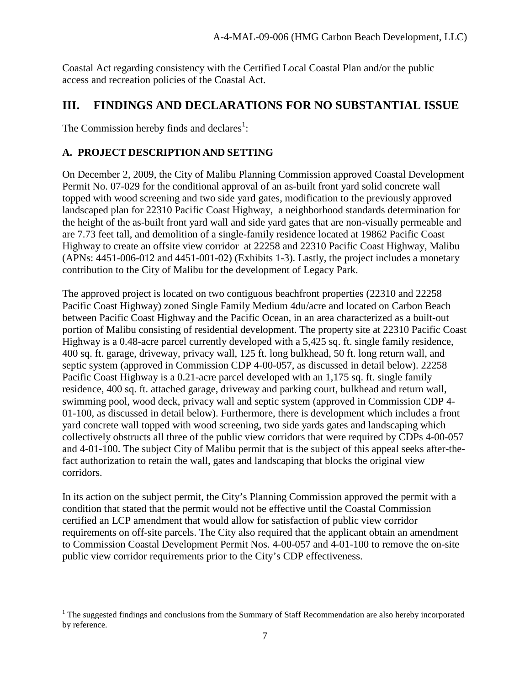Coastal Act regarding consistency with the Certified Local Coastal Plan and/or the public access and recreation policies of the Coastal Act.

### <span id="page-6-0"></span>**III. FINDINGS AND DECLARATIONS FOR NO SUBSTANTIAL ISSUE**

The Commission hereby finds and declares<sup>1</sup>:

 $\overline{a}$ 

### <span id="page-6-1"></span>**A. PROJECT DESCRIPTION AND SETTING**

On December 2, 2009, the City of Malibu Planning Commission approved Coastal Development Permit No. 07-029 for the conditional approval of an as-built front yard solid concrete wall topped with wood screening and two side yard gates, modification to the previously approved landscaped plan for 22310 Pacific Coast Highway, a neighborhood standards determination for the height of the as-built front yard wall and side yard gates that are non-visually permeable and are 7.73 feet tall, and demolition of a single-family residence located at 19862 Pacific Coast Highway to create an offsite view corridor at 22258 and 22310 Pacific Coast Highway, Malibu (APNs: 4451-006-012 and 4451-001-02) (Exhibits 1-3). Lastly, the project includes a monetary contribution to the City of Malibu for the development of Legacy Park.

The approved project is located on two contiguous beachfront properties (22310 and 22258 Pacific Coast Highway) zoned Single Family Medium 4du/acre and located on Carbon Beach between Pacific Coast Highway and the Pacific Ocean, in an area characterized as a built-out portion of Malibu consisting of residential development. The property site at 22310 Pacific Coast Highway is a 0.48-acre parcel currently developed with a 5,425 sq. ft. single family residence, 400 sq. ft. garage, driveway, privacy wall, 125 ft. long bulkhead, 50 ft. long return wall, and septic system (approved in Commission CDP 4-00-057, as discussed in detail below). 22258 Pacific Coast Highway is a 0.21-acre parcel developed with an 1,175 sq. ft. single family residence, 400 sq. ft. attached garage, driveway and parking court, bulkhead and return wall, swimming pool, wood deck, privacy wall and septic system (approved in Commission CDP 4- 01-100, as discussed in detail below). Furthermore, there is development which includes a front yard concrete wall topped with wood screening, two side yards gates and landscaping which collectively obstructs all three of the public view corridors that were required by CDPs 4-00-057 and 4-01-100. The subject City of Malibu permit that is the subject of this appeal seeks after-thefact authorization to retain the wall, gates and landscaping that blocks the original view corridors.

In its action on the subject permit, the City's Planning Commission approved the permit with a condition that stated that the permit would not be effective until the Coastal Commission certified an LCP amendment that would allow for satisfaction of public view corridor requirements on off-site parcels. The City also required that the applicant obtain an amendment to Commission Coastal Development Permit Nos. 4-00-057 and 4-01-100 to remove the on-site public view corridor requirements prior to the City's CDP effectiveness.

<sup>&</sup>lt;sup>1</sup> The suggested findings and conclusions from the Summary of Staff Recommendation are also hereby incorporated by reference.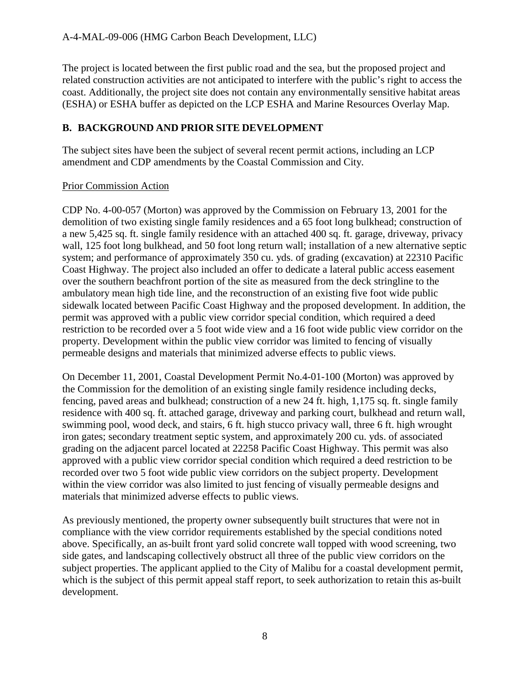The project is located between the first public road and the sea, but the proposed project and related construction activities are not anticipated to interfere with the public's right to access the coast. Additionally, the project site does not contain any environmentally sensitive habitat areas (ESHA) or ESHA buffer as depicted on the LCP ESHA and Marine Resources Overlay Map.

### <span id="page-7-0"></span>**B. BACKGROUND AND PRIOR SITE DEVELOPMENT**

The subject sites have been the subject of several recent permit actions, including an LCP amendment and CDP amendments by the Coastal Commission and City.

### Prior Commission Action

CDP No. 4-00-057 (Morton) was approved by the Commission on February 13, 2001 for the demolition of two existing single family residences and a 65 foot long bulkhead; construction of a new 5,425 sq. ft. single family residence with an attached 400 sq. ft. garage, driveway, privacy wall, 125 foot long bulkhead, and 50 foot long return wall; installation of a new alternative septic system; and performance of approximately 350 cu. yds. of grading (excavation) at 22310 Pacific Coast Highway. The project also included an offer to dedicate a lateral public access easement over the southern beachfront portion of the site as measured from the deck stringline to the ambulatory mean high tide line, and the reconstruction of an existing five foot wide public sidewalk located between Pacific Coast Highway and the proposed development. In addition, the permit was approved with a public view corridor special condition, which required a deed restriction to be recorded over a 5 foot wide view and a 16 foot wide public view corridor on the property. Development within the public view corridor was limited to fencing of visually permeable designs and materials that minimized adverse effects to public views.

On December 11, 2001, Coastal Development Permit No.4-01-100 (Morton) was approved by the Commission for the demolition of an existing single family residence including decks, fencing, paved areas and bulkhead; construction of a new 24 ft. high, 1,175 sq. ft. single family residence with 400 sq. ft. attached garage, driveway and parking court, bulkhead and return wall, swimming pool, wood deck, and stairs, 6 ft. high stucco privacy wall, three 6 ft. high wrought iron gates; secondary treatment septic system, and approximately 200 cu. yds. of associated grading on the adjacent parcel located at 22258 Pacific Coast Highway. This permit was also approved with a public view corridor special condition which required a deed restriction to be recorded over two 5 foot wide public view corridors on the subject property. Development within the view corridor was also limited to just fencing of visually permeable designs and materials that minimized adverse effects to public views.

As previously mentioned, the property owner subsequently built structures that were not in compliance with the view corridor requirements established by the special conditions noted above. Specifically, an as-built front yard solid concrete wall topped with wood screening, two side gates, and landscaping collectively obstruct all three of the public view corridors on the subject properties. The applicant applied to the City of Malibu for a coastal development permit, which is the subject of this permit appeal staff report, to seek authorization to retain this as-built development.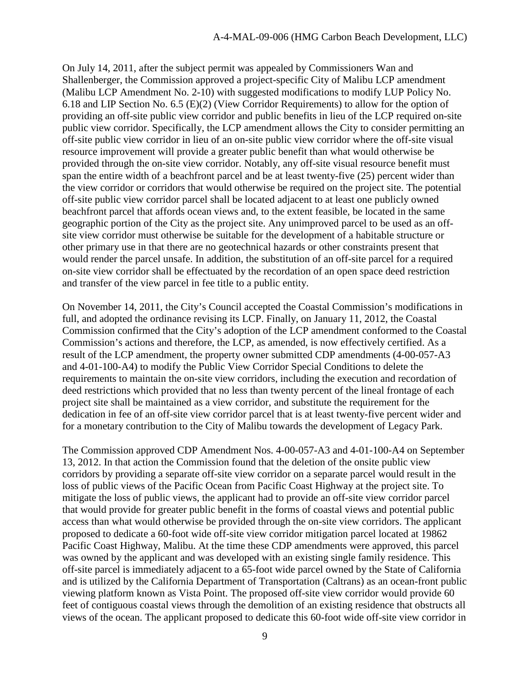On July 14, 2011, after the subject permit was appealed by Commissioners Wan and Shallenberger, the Commission approved a project-specific City of Malibu LCP amendment (Malibu LCP Amendment No. 2-10) with suggested modifications to modify LUP Policy No. 6.18 and LIP Section No. 6.5 (E)(2) (View Corridor Requirements) to allow for the option of providing an off-site public view corridor and public benefits in lieu of the LCP required on-site public view corridor. Specifically, the LCP amendment allows the City to consider permitting an off-site public view corridor in lieu of an on-site public view corridor where the off-site visual resource improvement will provide a greater public benefit than what would otherwise be provided through the on-site view corridor. Notably, any off-site visual resource benefit must span the entire width of a beachfront parcel and be at least twenty-five (25) percent wider than the view corridor or corridors that would otherwise be required on the project site. The potential off-site public view corridor parcel shall be located adjacent to at least one publicly owned beachfront parcel that affords ocean views and, to the extent feasible, be located in the same geographic portion of the City as the project site. Any unimproved parcel to be used as an offsite view corridor must otherwise be suitable for the development of a habitable structure or other primary use in that there are no geotechnical hazards or other constraints present that would render the parcel unsafe. In addition, the substitution of an off-site parcel for a required on-site view corridor shall be effectuated by the recordation of an open space deed restriction and transfer of the view parcel in fee title to a public entity.

On November 14, 2011, the City's Council accepted the Coastal Commission's modifications in full, and adopted the ordinance revising its LCP. Finally, on January 11, 2012, the Coastal Commission confirmed that the City's adoption of the LCP amendment conformed to the Coastal Commission's actions and therefore, the LCP, as amended, is now effectively certified. As a result of the LCP amendment, the property owner submitted CDP amendments (4-00-057-A3 and 4-01-100-A4) to modify the Public View Corridor Special Conditions to delete the requirements to maintain the on-site view corridors, including the execution and recordation of deed restrictions which provided that no less than twenty percent of the lineal frontage of each project site shall be maintained as a view corridor, and substitute the requirement for the dedication in fee of an off-site view corridor parcel that is at least twenty-five percent wider and for a monetary contribution to the City of Malibu towards the development of Legacy Park.

The Commission approved CDP Amendment Nos. 4-00-057-A3 and 4-01-100-A4 on September 13, 2012. In that action the Commission found that the deletion of the onsite public view corridors by providing a separate off-site view corridor on a separate parcel would result in the loss of public views of the Pacific Ocean from Pacific Coast Highway at the project site. To mitigate the loss of public views, the applicant had to provide an off-site view corridor parcel that would provide for greater public benefit in the forms of coastal views and potential public access than what would otherwise be provided through the on-site view corridors. The applicant proposed to dedicate a 60-foot wide off-site view corridor mitigation parcel located at 19862 Pacific Coast Highway, Malibu. At the time these CDP amendments were approved, this parcel was owned by the applicant and was developed with an existing single family residence. This off-site parcel is immediately adjacent to a 65-foot wide parcel owned by the State of California and is utilized by the California Department of Transportation (Caltrans) as an ocean-front public viewing platform known as Vista Point. The proposed off-site view corridor would provide 60 feet of contiguous coastal views through the demolition of an existing residence that obstructs all views of the ocean. The applicant proposed to dedicate this 60-foot wide off-site view corridor in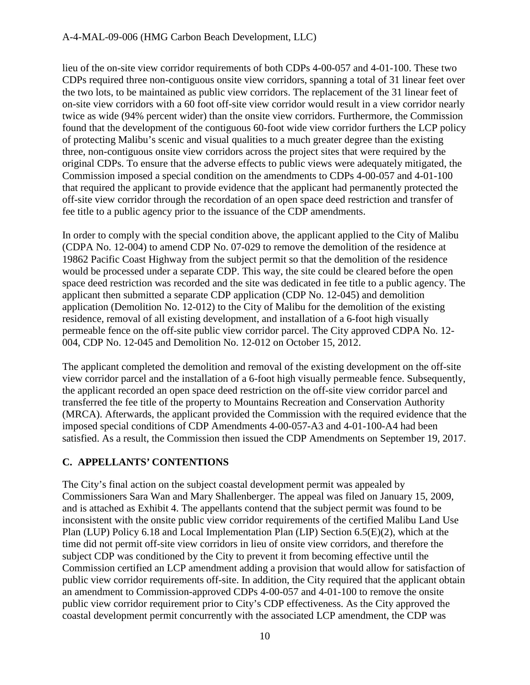lieu of the on-site view corridor requirements of both CDPs 4-00-057 and 4-01-100. These two CDPs required three non-contiguous onsite view corridors, spanning a total of 31 linear feet over the two lots, to be maintained as public view corridors. The replacement of the 31 linear feet of on-site view corridors with a 60 foot off-site view corridor would result in a view corridor nearly twice as wide (94% percent wider) than the onsite view corridors. Furthermore, the Commission found that the development of the contiguous 60-foot wide view corridor furthers the LCP policy of protecting Malibu's scenic and visual qualities to a much greater degree than the existing three, non-contiguous onsite view corridors across the project sites that were required by the original CDPs. To ensure that the adverse effects to public views were adequately mitigated, the Commission imposed a special condition on the amendments to CDPs 4-00-057 and 4-01-100 that required the applicant to provide evidence that the applicant had permanently protected the off-site view corridor through the recordation of an open space deed restriction and transfer of fee title to a public agency prior to the issuance of the CDP amendments.

In order to comply with the special condition above, the applicant applied to the City of Malibu (CDPA No. 12-004) to amend CDP No. 07-029 to remove the demolition of the residence at 19862 Pacific Coast Highway from the subject permit so that the demolition of the residence would be processed under a separate CDP. This way, the site could be cleared before the open space deed restriction was recorded and the site was dedicated in fee title to a public agency. The applicant then submitted a separate CDP application (CDP No. 12-045) and demolition application (Demolition No. 12-012) to the City of Malibu for the demolition of the existing residence, removal of all existing development, and installation of a 6-foot high visually permeable fence on the off-site public view corridor parcel. The City approved CDPA No. 12- 004, CDP No. 12-045 and Demolition No. 12-012 on October 15, 2012.

The applicant completed the demolition and removal of the existing development on the off-site view corridor parcel and the installation of a 6-foot high visually permeable fence. Subsequently, the applicant recorded an open space deed restriction on the off-site view corridor parcel and transferred the fee title of the property to Mountains Recreation and Conservation Authority (MRCA). Afterwards, the applicant provided the Commission with the required evidence that the imposed special conditions of CDP Amendments 4-00-057-A3 and 4-01-100-A4 had been satisfied. As a result, the Commission then issued the CDP Amendments on September 19, 2017.

### <span id="page-9-0"></span>**C. APPELLANTS' CONTENTIONS**

The City's final action on the subject coastal development permit was appealed by Commissioners Sara Wan and Mary Shallenberger. The appeal was filed on January 15, 2009, and is attached as Exhibit 4. The appellants contend that the subject permit was found to be inconsistent with the onsite public view corridor requirements of the certified Malibu Land Use Plan (LUP) Policy 6.18 and Local Implementation Plan (LIP) Section 6.5(E)(2), which at the time did not permit off-site view corridors in lieu of onsite view corridors, and therefore the subject CDP was conditioned by the City to prevent it from becoming effective until the Commission certified an LCP amendment adding a provision that would allow for satisfaction of public view corridor requirements off-site. In addition, the City required that the applicant obtain an amendment to Commission-approved CDPs 4-00-057 and 4-01-100 to remove the onsite public view corridor requirement prior to City's CDP effectiveness. As the City approved the coastal development permit concurrently with the associated LCP amendment, the CDP was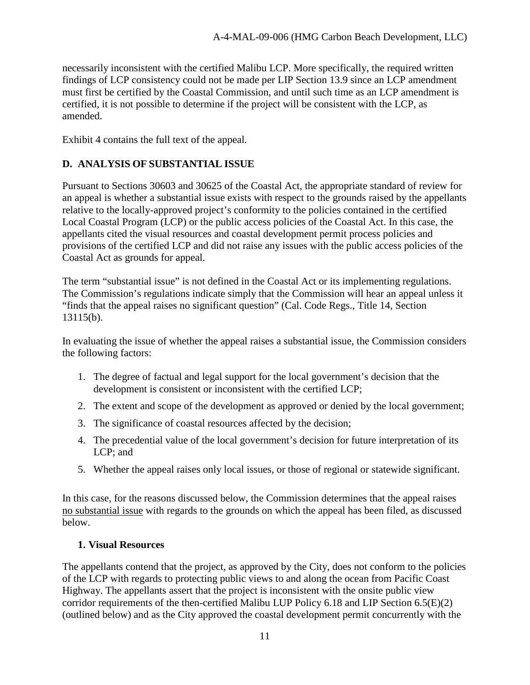necessarily inconsistent with the certified Malibu LCP. More specifically, the required written findings of LCP consistency could not be made per LIP Section 13.9 since an LCP amendment must first be certified by the Coastal Commission, and until such time as an LCP amendment is certified, it is not possible to determine if the project will be consistent with the LCP, as amended.

Exhibit 4 contains the full text of the appeal.

### <span id="page-10-0"></span>**D. ANALYSIS OF SUBSTANTIAL ISSUE**

Pursuant to Sections 30603 and 30625 of the Coastal Act, the appropriate standard of review for an appeal is whether a substantial issue exists with respect to the grounds raised by the appellants relative to the locally-approved project's conformity to the policies contained in the certified Local Coastal Program (LCP) or the public access policies of the Coastal Act. In this case, the appellants cited the visual resources and coastal development permit process policies and provisions of the certified LCP and did not raise any issues with the public access policies of the Coastal Act as grounds for appeal.

The term "substantial issue" is not defined in the Coastal Act or its implementing regulations. The Commission's regulations indicate simply that the Commission will hear an appeal unless it "finds that the appeal raises no significant question" (Cal. Code Regs., Title 14, Section 13115(b).

In evaluating the issue of whether the appeal raises a substantial issue, the Commission considers the following factors:

- 1. The degree of factual and legal support for the local government's decision that the development is consistent or inconsistent with the certified LCP;
- 2. The extent and scope of the development as approved or denied by the local government;
- 3. The significance of coastal resources affected by the decision;
- 4. The precedential value of the local government's decision for future interpretation of its LCP; and
- 5. Whether the appeal raises only local issues, or those of regional or statewide significant.

In this case, for the reasons discussed below, the Commission determines that the appeal raises no substantial issue with regards to the grounds on which the appeal has been filed, as discussed below.

#### <span id="page-10-1"></span>**1. Visual Resources**

The appellants contend that the project, as approved by the City, does not conform to the policies of the LCP with regards to protecting public views to and along the ocean from Pacific Coast Highway. The appellants assert that the project is inconsistent with the onsite public view corridor requirements of the then-certified Malibu LUP Policy 6.18 and LIP Section 6.5(E)(2) (outlined below) and as the City approved the coastal development permit concurrently with the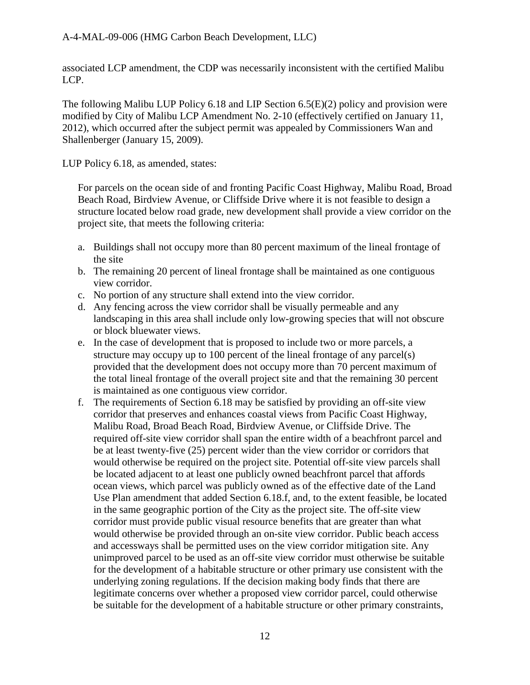associated LCP amendment, the CDP was necessarily inconsistent with the certified Malibu LCP.

The following Malibu LUP Policy 6.18 and LIP Section  $6.5(E)(2)$  policy and provision were modified by City of Malibu LCP Amendment No. 2-10 (effectively certified on January 11, 2012), which occurred after the subject permit was appealed by Commissioners Wan and Shallenberger (January 15, 2009).

LUP Policy 6.18, as amended, states:

For parcels on the ocean side of and fronting Pacific Coast Highway, Malibu Road, Broad Beach Road, Birdview Avenue, or Cliffside Drive where it is not feasible to design a structure located below road grade, new development shall provide a view corridor on the project site, that meets the following criteria:

- a. Buildings shall not occupy more than 80 percent maximum of the lineal frontage of the site
- b. The remaining 20 percent of lineal frontage shall be maintained as one contiguous view corridor.
- c. No portion of any structure shall extend into the view corridor.
- d. Any fencing across the view corridor shall be visually permeable and any landscaping in this area shall include only low-growing species that will not obscure or block bluewater views.
- e. In the case of development that is proposed to include two or more parcels, a structure may occupy up to 100 percent of the lineal frontage of any parcel(s) provided that the development does not occupy more than 70 percent maximum of the total lineal frontage of the overall project site and that the remaining 30 percent is maintained as one contiguous view corridor.
- f. The requirements of Section 6.18 may be satisfied by providing an off-site view corridor that preserves and enhances coastal views from Pacific Coast Highway, Malibu Road, Broad Beach Road, Birdview Avenue, or Cliffside Drive. The required off-site view corridor shall span the entire width of a beachfront parcel and be at least twenty-five (25) percent wider than the view corridor or corridors that would otherwise be required on the project site. Potential off-site view parcels shall be located adjacent to at least one publicly owned beachfront parcel that affords ocean views, which parcel was publicly owned as of the effective date of the Land Use Plan amendment that added Section 6.18.f, and, to the extent feasible, be located in the same geographic portion of the City as the project site. The off-site view corridor must provide public visual resource benefits that are greater than what would otherwise be provided through an on-site view corridor. Public beach access and accessways shall be permitted uses on the view corridor mitigation site. Any unimproved parcel to be used as an off-site view corridor must otherwise be suitable for the development of a habitable structure or other primary use consistent with the underlying zoning regulations. If the decision making body finds that there are legitimate concerns over whether a proposed view corridor parcel, could otherwise be suitable for the development of a habitable structure or other primary constraints,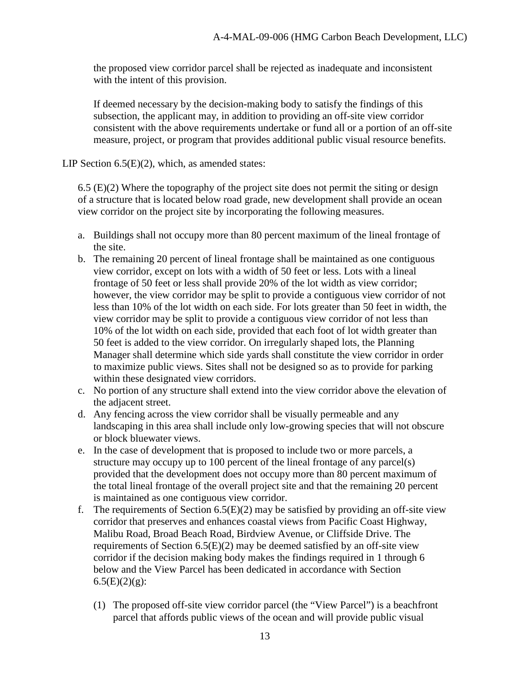the proposed view corridor parcel shall be rejected as inadequate and inconsistent with the intent of this provision.

If deemed necessary by the decision-making body to satisfy the findings of this subsection, the applicant may, in addition to providing an off-site view corridor consistent with the above requirements undertake or fund all or a portion of an off-site measure, project, or program that provides additional public visual resource benefits.

LIP Section  $6.5(E)(2)$ , which, as amended states:

 $6.5$  (E)(2) Where the topography of the project site does not permit the siting or design of a structure that is located below road grade, new development shall provide an ocean view corridor on the project site by incorporating the following measures.

- a. Buildings shall not occupy more than 80 percent maximum of the lineal frontage of the site.
- b. The remaining 20 percent of lineal frontage shall be maintained as one contiguous view corridor, except on lots with a width of 50 feet or less. Lots with a lineal frontage of 50 feet or less shall provide 20% of the lot width as view corridor; however, the view corridor may be split to provide a contiguous view corridor of not less than 10% of the lot width on each side. For lots greater than 50 feet in width, the view corridor may be split to provide a contiguous view corridor of not less than 10% of the lot width on each side, provided that each foot of lot width greater than 50 feet is added to the view corridor. On irregularly shaped lots, the Planning Manager shall determine which side yards shall constitute the view corridor in order to maximize public views. Sites shall not be designed so as to provide for parking within these designated view corridors.
- c. No portion of any structure shall extend into the view corridor above the elevation of the adjacent street.
- d. Any fencing across the view corridor shall be visually permeable and any landscaping in this area shall include only low-growing species that will not obscure or block bluewater views.
- e. In the case of development that is proposed to include two or more parcels, a structure may occupy up to 100 percent of the lineal frontage of any parcel(s) provided that the development does not occupy more than 80 percent maximum of the total lineal frontage of the overall project site and that the remaining 20 percent is maintained as one contiguous view corridor.
- f. The requirements of Section  $6.5(E)(2)$  may be satisfied by providing an off-site view corridor that preserves and enhances coastal views from Pacific Coast Highway, Malibu Road, Broad Beach Road, Birdview Avenue, or Cliffside Drive. The requirements of Section 6.5(E)(2) may be deemed satisfied by an off-site view corridor if the decision making body makes the findings required in 1 through 6 below and the View Parcel has been dedicated in accordance with Section  $6.5(E)(2)(g)$ :
	- (1) The proposed off-site view corridor parcel (the "View Parcel") is a beachfront parcel that affords public views of the ocean and will provide public visual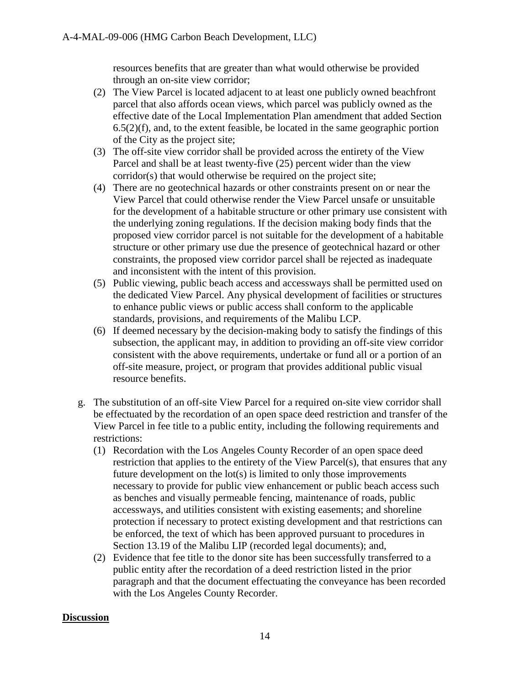resources benefits that are greater than what would otherwise be provided through an on-site view corridor;

- (2) The View Parcel is located adjacent to at least one publicly owned beachfront parcel that also affords ocean views, which parcel was publicly owned as the effective date of the Local Implementation Plan amendment that added Section  $6.5(2)(f)$ , and, to the extent feasible, be located in the same geographic portion of the City as the project site;
- (3) The off-site view corridor shall be provided across the entirety of the View Parcel and shall be at least twenty-five (25) percent wider than the view corridor(s) that would otherwise be required on the project site;
- (4) There are no geotechnical hazards or other constraints present on or near the View Parcel that could otherwise render the View Parcel unsafe or unsuitable for the development of a habitable structure or other primary use consistent with the underlying zoning regulations. If the decision making body finds that the proposed view corridor parcel is not suitable for the development of a habitable structure or other primary use due the presence of geotechnical hazard or other constraints, the proposed view corridor parcel shall be rejected as inadequate and inconsistent with the intent of this provision.
- (5) Public viewing, public beach access and accessways shall be permitted used on the dedicated View Parcel. Any physical development of facilities or structures to enhance public views or public access shall conform to the applicable standards, provisions, and requirements of the Malibu LCP.
- (6) If deemed necessary by the decision-making body to satisfy the findings of this subsection, the applicant may, in addition to providing an off-site view corridor consistent with the above requirements, undertake or fund all or a portion of an off-site measure, project, or program that provides additional public visual resource benefits.
- g. The substitution of an off-site View Parcel for a required on-site view corridor shall be effectuated by the recordation of an open space deed restriction and transfer of the View Parcel in fee title to a public entity, including the following requirements and restrictions:
	- (1) Recordation with the Los Angeles County Recorder of an open space deed restriction that applies to the entirety of the View Parcel(s), that ensures that any future development on the lot(s) is limited to only those improvements necessary to provide for public view enhancement or public beach access such as benches and visually permeable fencing, maintenance of roads, public accessways, and utilities consistent with existing easements; and shoreline protection if necessary to protect existing development and that restrictions can be enforced, the text of which has been approved pursuant to procedures in Section 13.19 of the Malibu LIP (recorded legal documents); and,
	- (2) Evidence that fee title to the donor site has been successfully transferred to a public entity after the recordation of a deed restriction listed in the prior paragraph and that the document effectuating the conveyance has been recorded with the Los Angeles County Recorder.

#### **Discussion**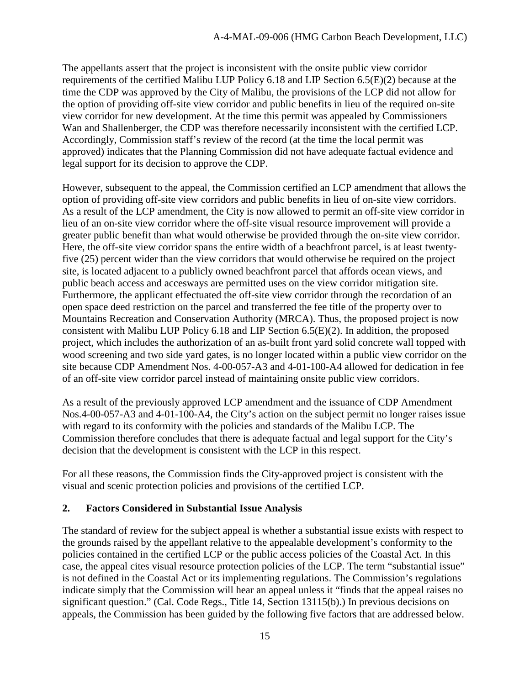The appellants assert that the project is inconsistent with the onsite public view corridor requirements of the certified Malibu LUP Policy 6.18 and LIP Section 6.5(E)(2) because at the time the CDP was approved by the City of Malibu, the provisions of the LCP did not allow for the option of providing off-site view corridor and public benefits in lieu of the required on-site view corridor for new development. At the time this permit was appealed by Commissioners Wan and Shallenberger, the CDP was therefore necessarily inconsistent with the certified LCP. Accordingly, Commission staff's review of the record (at the time the local permit was approved) indicates that the Planning Commission did not have adequate factual evidence and legal support for its decision to approve the CDP.

However, subsequent to the appeal, the Commission certified an LCP amendment that allows the option of providing off-site view corridors and public benefits in lieu of on-site view corridors. As a result of the LCP amendment, the City is now allowed to permit an off-site view corridor in lieu of an on-site view corridor where the off-site visual resource improvement will provide a greater public benefit than what would otherwise be provided through the on-site view corridor. Here, the off-site view corridor spans the entire width of a beachfront parcel, is at least twentyfive (25) percent wider than the view corridors that would otherwise be required on the project site, is located adjacent to a publicly owned beachfront parcel that affords ocean views, and public beach access and accesways are permitted uses on the view corridor mitigation site. Furthermore, the applicant effectuated the off-site view corridor through the recordation of an open space deed restriction on the parcel and transferred the fee title of the property over to Mountains Recreation and Conservation Authority (MRCA). Thus, the proposed project is now consistent with Malibu LUP Policy 6.18 and LIP Section 6.5(E)(2). In addition, the proposed project, which includes the authorization of an as-built front yard solid concrete wall topped with wood screening and two side yard gates, is no longer located within a public view corridor on the site because CDP Amendment Nos. 4-00-057-A3 and 4-01-100-A4 allowed for dedication in fee of an off-site view corridor parcel instead of maintaining onsite public view corridors.

As a result of the previously approved LCP amendment and the issuance of CDP Amendment Nos.4-00-057-A3 and 4-01-100-A4, the City's action on the subject permit no longer raises issue with regard to its conformity with the policies and standards of the Malibu LCP. The Commission therefore concludes that there is adequate factual and legal support for the City's decision that the development is consistent with the LCP in this respect.

For all these reasons, the Commission finds the City-approved project is consistent with the visual and scenic protection policies and provisions of the certified LCP.

### <span id="page-14-0"></span>**2. Factors Considered in Substantial Issue Analysis**

The standard of review for the subject appeal is whether a substantial issue exists with respect to the grounds raised by the appellant relative to the appealable development's conformity to the policies contained in the certified LCP or the public access policies of the Coastal Act. In this case, the appeal cites visual resource protection policies of the LCP. The term "substantial issue" is not defined in the Coastal Act or its implementing regulations. The Commission's regulations indicate simply that the Commission will hear an appeal unless it "finds that the appeal raises no significant question." (Cal. Code Regs., Title 14, Section 13115(b).) In previous decisions on appeals, the Commission has been guided by the following five factors that are addressed below.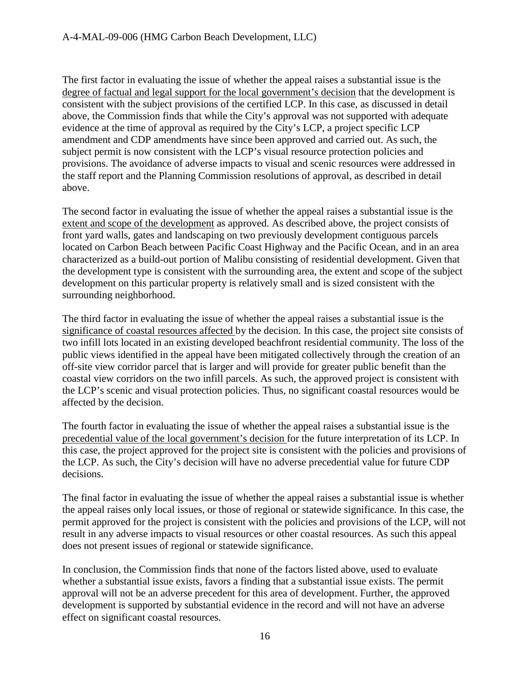The first factor in evaluating the issue of whether the appeal raises a substantial issue is the degree of factual and legal support for the local government's decision that the development is consistent with the subject provisions of the certified LCP. In this case, as discussed in detail above, the Commission finds that while the City's approval was not supported with adequate evidence at the time of approval as required by the City's LCP, a project specific LCP amendment and CDP amendments have since been approved and carried out. As such, the subject permit is now consistent with the LCP's visual resource protection policies and provisions. The avoidance of adverse impacts to visual and scenic resources were addressed in the staff report and the Planning Commission resolutions of approval, as described in detail above.

The second factor in evaluating the issue of whether the appeal raises a substantial issue is the extent and scope of the development as approved. As described above, the project consists of front yard walls, gates and landscaping on two previously development contiguous parcels located on Carbon Beach between Pacific Coast Highway and the Pacific Ocean, and in an area characterized as a build-out portion of Malibu consisting of residential development. Given that the development type is consistent with the surrounding area, the extent and scope of the subject development on this particular property is relatively small and is sized consistent with the surrounding neighborhood.

The third factor in evaluating the issue of whether the appeal raises a substantial issue is the significance of coastal resources affected by the decision. In this case, the project site consists of two infill lots located in an existing developed beachfront residential community. The loss of the public views identified in the appeal have been mitigated collectively through the creation of an off-site view corridor parcel that is larger and will provide for greater public benefit than the coastal view corridors on the two infill parcels. As such, the approved project is consistent with the LCP's scenic and visual protection policies. Thus, no significant coastal resources would be affected by the decision.

The fourth factor in evaluating the issue of whether the appeal raises a substantial issue is the precedential value of the local government's decision for the future interpretation of its LCP. In this case, the project approved for the project site is consistent with the policies and provisions of the LCP. As such, the City's decision will have no adverse precedential value for future CDP decisions.

The final factor in evaluating the issue of whether the appeal raises a substantial issue is whether the appeal raises only local issues, or those of regional or statewide significance. In this case, the permit approved for the project is consistent with the policies and provisions of the LCP, will not result in any adverse impacts to visual resources or other coastal resources. As such this appeal does not present issues of regional or statewide significance.

In conclusion, the Commission finds that none of the factors listed above, used to evaluate whether a substantial issue exists, favors a finding that a substantial issue exists. The permit approval will not be an adverse precedent for this area of development. Further, the approved development is supported by substantial evidence in the record and will not have an adverse effect on significant coastal resources.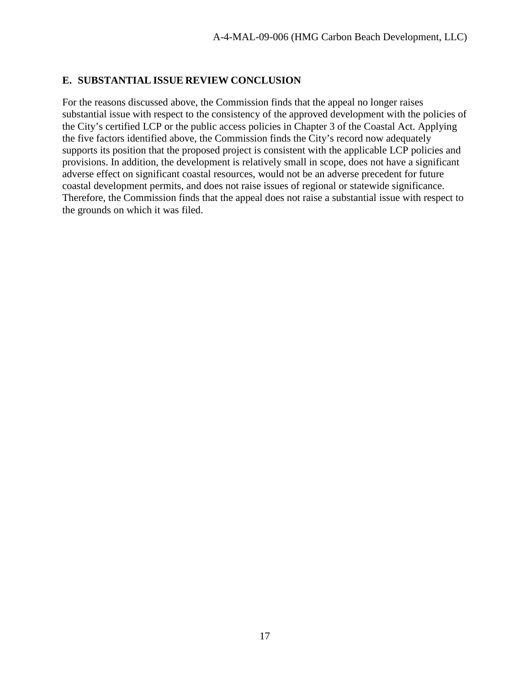#### <span id="page-16-0"></span>**E. SUBSTANTIAL ISSUE REVIEW CONCLUSION**

For the reasons discussed above, the Commission finds that the appeal no longer raises substantial issue with respect to the consistency of the approved development with the policies of the City's certified LCP or the public access policies in Chapter 3 of the Coastal Act. Applying the five factors identified above, the Commission finds the City's record now adequately supports its position that the proposed project is consistent with the applicable LCP policies and provisions. In addition, the development is relatively small in scope, does not have a significant adverse effect on significant coastal resources, would not be an adverse precedent for future coastal development permits, and does not raise issues of regional or statewide significance. Therefore, the Commission finds that the appeal does not raise a substantial issue with respect to the grounds on which it was filed.